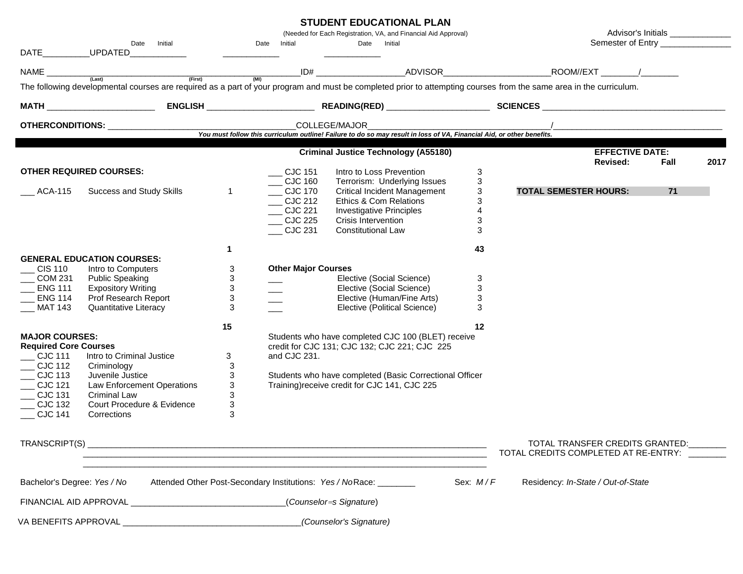## **STUDENT EDUCATIONAL PLAN**

|                                        | Date Initial                                               |                           | Date Initial                                                                           | (Needed for Each Registration, VA, and Financial Aid Approval)<br>Date Initial                                                                                                                                   |                                 | Advisor's Initials _______________<br>Semester of Entry __________________                                                                                         |      |
|----------------------------------------|------------------------------------------------------------|---------------------------|----------------------------------------------------------------------------------------|------------------------------------------------------------------------------------------------------------------------------------------------------------------------------------------------------------------|---------------------------------|--------------------------------------------------------------------------------------------------------------------------------------------------------------------|------|
| DATE                                   | UPDATED                                                    |                           |                                                                                        |                                                                                                                                                                                                                  |                                 |                                                                                                                                                                    |      |
| NAME                                   | (Last)<br>(First)                                          | $\overline{(M1)}$         |                                                                                        |                                                                                                                                                                                                                  |                                 | _ID# _______________________ADVISOR_________________________________ROOM//EXT __________/__________                                                                |      |
|                                        |                                                            |                           |                                                                                        |                                                                                                                                                                                                                  |                                 | The following developmental courses are required as a part of your program and must be completed prior to attempting courses from the same area in the curriculum. |      |
|                                        |                                                            |                           |                                                                                        |                                                                                                                                                                                                                  |                                 |                                                                                                                                                                    |      |
|                                        |                                                            |                           |                                                                                        | Vou must follow this curriculum outline! Failure to do so may result in loss of VA, Financial Aid, or other benefits.                                                                                            |                                 |                                                                                                                                                                    |      |
|                                        |                                                            |                           |                                                                                        |                                                                                                                                                                                                                  |                                 |                                                                                                                                                                    |      |
|                                        |                                                            |                           |                                                                                        | <b>Criminal Justice Technology (A55180)</b>                                                                                                                                                                      |                                 | <b>EFFECTIVE DATE:</b><br>Revised:<br>Fall                                                                                                                         | 2017 |
| ACA-115                                | <b>OTHER REQUIRED COURSES:</b><br>Success and Study Skills | $\mathbf{1}$              | $\sim$ CJC 151<br>$\_\$ CJC 160<br>CJC 170<br>CJC 212<br>CJC 221<br>CJC 225<br>CJC 231 | Intro to Loss Prevention<br>Terrorism: Underlying Issues<br><b>Critical Incident Management</b><br>Ethics & Com Relations<br><b>Investigative Principles</b><br>Crisis Intervention<br><b>Constitutional Law</b> | 3<br>3<br>3<br>3<br>4<br>3<br>3 | <b>TOTAL SEMESTER HOURS:</b><br>71                                                                                                                                 |      |
|                                        |                                                            | 1                         |                                                                                        |                                                                                                                                                                                                                  | 43                              |                                                                                                                                                                    |      |
|                                        | <b>GENERAL EDUCATION COURSES:</b>                          |                           |                                                                                        |                                                                                                                                                                                                                  |                                 |                                                                                                                                                                    |      |
| $\overline{\text{CIS}}$ 110<br>COM 231 | Intro to Computers<br><b>Public Speaking</b>               | 3<br>3                    | <b>Other Major Courses</b>                                                             | Elective (Social Science)                                                                                                                                                                                        | 3                               |                                                                                                                                                                    |      |
| <b>ENG 111</b>                         | <b>Expository Writing</b>                                  | $\ensuremath{\mathsf{3}}$ |                                                                                        | Elective (Social Science)                                                                                                                                                                                        | 3                               |                                                                                                                                                                    |      |
| <b>ENG 114</b>                         | Prof Research Report                                       | 3                         |                                                                                        | Elective (Human/Fine Arts)                                                                                                                                                                                       | 3                               |                                                                                                                                                                    |      |
| <b>MAT 143</b>                         | Quantitative Literacy                                      | 3                         |                                                                                        | Elective (Political Science)                                                                                                                                                                                     | 3                               |                                                                                                                                                                    |      |
|                                        |                                                            | 15                        |                                                                                        |                                                                                                                                                                                                                  | 12                              |                                                                                                                                                                    |      |
| <b>MAJOR COURSES:</b>                  |                                                            |                           | Students who have completed CJC 100 (BLET) receive                                     |                                                                                                                                                                                                                  |                                 |                                                                                                                                                                    |      |
| <b>Required Core Courses</b>           |                                                            |                           |                                                                                        | credit for CJC 131; CJC 132; CJC 221; CJC 225                                                                                                                                                                    |                                 |                                                                                                                                                                    |      |
| CJC 111<br>$\_$ CJC 112                | Intro to Criminal Justice<br>Criminology                   | 3<br>3                    | and CJC 231.                                                                           |                                                                                                                                                                                                                  |                                 |                                                                                                                                                                    |      |
| CJC 113                                | Juvenile Justice                                           | 3                         |                                                                                        | Students who have completed (Basic Correctional Officer                                                                                                                                                          |                                 |                                                                                                                                                                    |      |
| <b>CJC 121</b>                         | Law Enforcement Operations                                 | $\mathbf{3}$              |                                                                                        | Training) receive credit for CJC 141, CJC 225                                                                                                                                                                    |                                 |                                                                                                                                                                    |      |
| $\_$ CJC 131                           | <b>Criminal Law</b>                                        | 3                         |                                                                                        |                                                                                                                                                                                                                  |                                 |                                                                                                                                                                    |      |
| CJC 132<br>CJC 141                     | Court Procedure & Evidence<br>Corrections                  | $\mathbf{3}$<br>3         |                                                                                        |                                                                                                                                                                                                                  |                                 |                                                                                                                                                                    |      |
| TRANSCRIPT(S)                          |                                                            |                           |                                                                                        |                                                                                                                                                                                                                  |                                 | TOTAL TRANSFER CREDITS GRANTED:<br>TOTAL CREDITS COMPLETED AT RE-ENTRY: _______                                                                                    |      |
| Bachelor's Degree: Yes / No            |                                                            |                           |                                                                                        | Attended Other Post-Secondary Institutions: Yes / NoRace: ________                                                                                                                                               | Sex: M/F                        | Residency: In-State / Out-of-State                                                                                                                                 |      |
|                                        |                                                            |                           |                                                                                        |                                                                                                                                                                                                                  |                                 |                                                                                                                                                                    |      |
|                                        |                                                            |                           |                                                                                        | (Counselor=s Signature)                                                                                                                                                                                          |                                 |                                                                                                                                                                    |      |
| VA BENEFITS APPROVAL_                  |                                                            |                           |                                                                                        | (Counselor's Signature)                                                                                                                                                                                          |                                 |                                                                                                                                                                    |      |